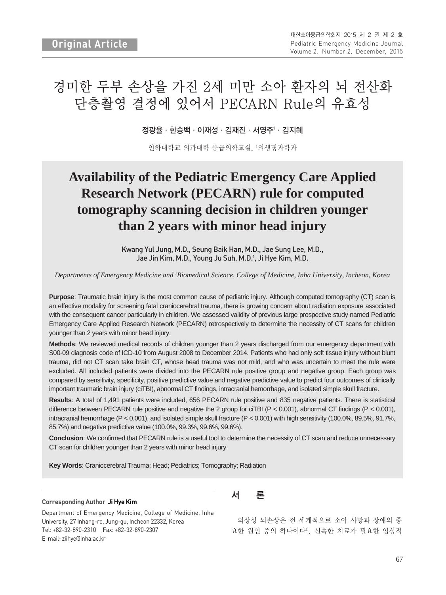# 경미한 두부 손상을 가진 2세 미만 소아 환자의 뇌 전산화 단층촬영 결정에 있어서 PECARN Rule의 유효성

정광율∙한승백∙이재성∙김재진∙서영주1 ∙김지혜

인하대학교 의과대학 응급의학교실, 1 의생명과학과

# **Availability of the Pediatric Emergency Care Applied Research Network (PECARN) rule for computed tomography scanning decision in children younger than 2 years with minor head injury**

Kwang Yul Jung, M.D., Seung Baik Han, M.D., Jae Sung Lee, M.D., Jae Jin Kim, M.D., Young Ju Suh, M.D.<sup>1</sup>, Ji Hye Kim, M.D.

*Departments of Emergency Medicine and 1 Biomedical Science, College of Medicine, Inha University, Incheon, Korea*

**Purpose**: Traumatic brain injury is the most common cause of pediatric injury. Although computed tomography (CT) scan is an effective modality for screening fatal craniocerebral trauma, there is growing concern about radiation exposure associated with the consequent cancer particularly in children. We assessed validity of previous large prospective study named Pediatric Emergency Care Applied Research Network (PECARN) retrospectively to determine the necessity of CT scans for children younger than 2 years with minor head injury.

**Methods**: We reviewed medical records of children younger than 2 years discharged from our emergency department with S00-09 diagnosis code of ICD-10 from August 2008 to December 2014. Patients who had only soft tissue injury without blunt trauma, did not CT scan take brain CT, whose head trauma was not mild, and who was uncertain to meet the rule were excluded. All included patients were divided into the PECARN rule positive group and negative group. Each group was compared by sensitivity, specificity, positive predictive value and negative predictive value to predict four outcomes of clinically important traumatic brain injury (ciTBI), abnormal CT findings, intracranial hemorrhage, and isolated simple skull fracture.

**Results**: A total of 1,491 patients were included, 656 PECARN rule positive and 835 negative patients. There is statistical difference between PECARN rule positive and negative the 2 group for ciTBI (P < 0.001), abnormal CT findings (P < 0.001), intracranial hemorrhage (P < 0.001), and isolated simple skull fracture (P < 0.001) with high sensitivity (100.0%, 89.5%, 91.7%, 85.7%) and negative predictive value (100.0%, 99.3%, 99.6%, 99.6%).

**Conclusion**: We confirmed that PECARN rule is a useful tool to determine the necessity of CT scan and reduce unnecessary CT scan for children younger than 2 years with minor head injury.

**Key Words**: Craniocerebral Trauma; Head; Pediatrics; Tomography; Radiation

#### **Corresponding Author Ji Hye Kim**

Department of Emergency Medicine, College of Medicine, Inha University, 27 Inhang-ro, Jung-gu, Incheon 22332, Korea Tel: +82-32-890-2310 Fax: +82-32-890-2307 E-mail: ziihye@inha.ac.kr

## 서 론

외상성 뇌손상은 전 세계적으로 소아 사망과 장애의 중 요한 원인 중의 하나이다1). 신속한 치료가 필요한 임상적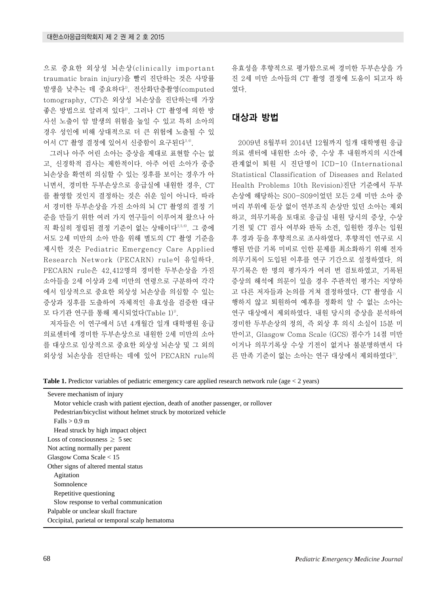으로 중요한 외상성 뇌손상(clinically important traumatic brain injury)을 빨리 진단하는 것은 사망률 발생을 낮추는 데 중요하다1). 전산화단층촬영(computed tomography, CT)은 외상성 뇌손상을 진단하는데 가장 좋은 방법으로 알려져 있다<sup>2)</sup>. 그러나 CT 촬영에 의한 방 사선 노출이 암 발생의 위험을 높일 수 있고 특히 소아의 경우 성인에 비해 상대적으로 더 큰 위험에 노출될 수 있 어서 CT 촬영 결정에 있어서 신중함이 요구된다<sup>3,4)</sup>.

그러나 아주 어린 소아는 증상을 제대로 표현할 수는 없 고, 신경학적 검사는 제한적이다. 아주 어린 소아가 중증 뇌손상을 확연히 의심할 수 있는 징후를 보이는 경우가 아 니면서, 경미한 두부손상으로 응급실에 내원한 경우, CT 를 촬영할 것인지 결정하는 것은 쉬운 일이 아니다. 따라 서 경미한 두부손상을 가진 소아의 뇌 CT 촬영의 결정 기 준을 만들기 위한 여러 가지 연구들이 이루어져 왔으나 아 직 확실히 정립된 결정 기준이 없는 상태이다2,5,6). 그 중에 서도 2세 미만의 소아 만을 위해 별도의 CT 촬영 기준을 제시한 것은 Pediatric Emergency Care Applied Research Network (PECARN) rule이 유일하다. PECARN rule은 42,412명의 경미한 두부손상을 가진 소아들을 2세 이상과 2세 미만의 연령으로 구분하여 각각 에서 임상적으로 중요한 외상성 뇌손상을 의심할 수 있는 증상과 징후를 도출하여 자체적인 유효성을 검증한 대규 모 다기관 연구를 통해 제시되었다(Table 1)<sup>1)</sup>.

저자들은 이 연구에서 5년 4개월간 일개 대학병원 응급 의료센터에 경미한 두부손상으로 내원한 2세 미만의 소아 를 대상으로 임상적으로 중요한 외상성 뇌손상 및 그 외의 외상성 뇌손상을 진단하는 데에 있어 PECARN rule의 유효성을 후향적으로 평가함으로써 경미한 두부손상을 가 진 2세 미만 소아들의 CT 촬영 결정에 도움이 되고자 하 였다.

#### 대상과 방법

2009년 8월부터 2014년 12월까지 일개 대학병원 응급 의료 센터에 내원한 소아 중, 수상 후 내원까지의 시간에 관계없이 퇴원 시 진단명이 ICD-10 (International Statistical Classification of Diseases and Related Health Problems 10th Revision)진단 기준에서 두부 손상에 해당하는 S00-S09이었던 모든 2세 미만 소아 중 머리 부위에 둔상 없이 연부조직 손상만 있던 소아는 제외 하고, 의무기록을 토대로 응급실 내원 당시의 증상, 수상 기전 및 CT 검사 여부와 판독 소견, 입원한 경우는 입원 후 경과 등을 후향적으로 조사하였다. 후향적인 연구로 시 행된 만큼 기록 미비로 인한 문제를 최소화하기 위해 전자 의무기록이 도입된 이후를 연구 기간으로 설정하였다. 의 무기록은 한 명의 평가자가 여러 번 검토하였고, 기록된 증상의 해석에 의문이 있을 경우 주관적인 평가는 지양하 고 다른 저자들과 논의를 거쳐 결정하였다. CT 촬영을 시 행하지 않고 퇴원하여 예후를 정확히 알 수 없는 소아는 연구 대상에서 제외하였다. 내원 당시의 증상을 분석하여 경미한 두부손상의 정의, 즉 외상 후 의식 소실이 15분 미 만이고, Glasgow Coma Scale (GCS) 점수가 14점 미만 이거나 의무기록상 수상 기전이 없거나 불분명하면서 다 른 만족 기준이 없는 소아는 연구 대상에서 제외하였다".

Table 1. Predictor variables of pediatric emergency care applied research network rule (age < 2 years)

| Severe mechanism of injury                                                         |
|------------------------------------------------------------------------------------|
| Motor vehicle crash with patient ejection, death of another passenger, or rollover |
| Pedestrian/bicyclist without helmet struck by motorized vehicle                    |
| Falls $> 0.9$ m                                                                    |
| Head struck by high impact object                                                  |
| Loss of consciousness $> 5$ sec                                                    |
| Not acting normally per parent                                                     |
| Glasgow Coma Scale $< 15$                                                          |
| Other signs of altered mental status                                               |
| Agitation                                                                          |
| Somnolence                                                                         |
| Repetitive questioning                                                             |
| Slow response to verbal communication                                              |
| Palpable or unclear skull fracture                                                 |
| Occipital, parietal or temporal scalp hematoma                                     |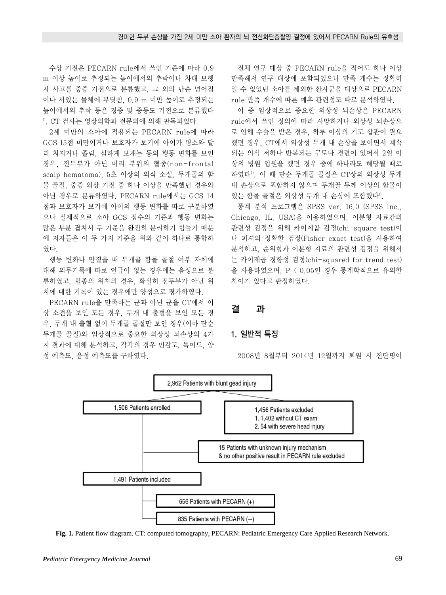수상 기전은 PECARN rule에서 쓰인 기준에 따라 0.9 m 이상 높이로 추정되는 높이에서의 추락이나 차대 보행 자 사고를 중증 기전으로 분류했고, 그 외의 단순 넘어짐 이나 서있는 물체에 부딪침, 0.9 m 미만 높이로 추정되는 높이에서의 추락 등은 경증 및 중등도 기전으로 분류했다 1). CT 검사는 영상의학과 전문의에 의해 판독되었다.

2세 미만의 소아에 적용되는 PECARN rule에 따라 GCS 15점 미만이거나 보호자가 보기에 아이가 평소와 달 리 처지거나 졸림, 심하게 보채는 등의 행동 변화를 보인 경우, 전두부가 아닌 머리 부위의 혈종(non-frontal scalp hematoma), 5초 이상의 의식 소실, 두개골의 함 몰 골절, 중증 외상 기전 중 하나 이상을 만족했던 경우와 아닌 경우로 분류하였다. PECARN rule에서는 GCS 14 점과 보호자가 보기에 아이의 행동 변화를 따로 구분하였 으나 실제적으로 소아 GCS 점수의 기준과 행동 변화는 많은 부분 겹쳐서 두 기준을 완전히 분리하기 힘들기 때문 에 저자들은 이 두 가지 기준을 위와 같이 하나로 통합하 였다.

행동 변화나 만졌을 때 두개골 함몰 골절 여부 자체에 대해 의무기록에 따로 언급이 없는 경우에는 음성으로 분 류하였고, 혈종의 위치의 경우, 확실히 전두부가 아닌 위 치에 대한 기록이 있는 경우에만 양성으로 평가하였다.

PECARN rule을 만족하는 군과 아닌 군을 CT에서 이 상 소견을 보인 모든 경우, 두개 내 출혈을 보인 모든 경 우, 두개 내 출혈 없이 두개골 골절만 보인 경우(이하 단순 두개골 골절)와 임상적으로 중요한 외상성 뇌손상의 4가 지 결과에 대해 분석하고, 각각의 경우 민감도, 특이도, 양 성 예측도, 음성 예측도를 구하였다.

전체 연구 대상 중 PECARN rule을 적어도 하나 이상 만족해서 연구 대상에 포함되었으나 만족 개수는 정확히 알 수 없었던 소아를 제외한 환자군을 대상으로 PECARN rule 만족 개수에 따른 예후 관련성도 따로 분석하였다.

이 중 임상적으로 중요한 외상성 뇌손상은 PECARN rule에서 쓰인 정의에 따라 사망하거나 외상성 뇌손상으 로 인해 수술을 받은 경우, 하루 이상의 기도 삽관이 필요 했던 경우, CT에서 외상성 두개 내 손상을 보이면서 계속 되는 의식 저하나 반복되는 구토나 경련이 있어서 2일 이 상의 병원 입원을 했던 경우 중에 하나라도 해당될 때로 하였다7). 이 때 단순 두개골 골절은 CT상의 외상성 두개 내 손상으로 포함하지 않으며 두개골 두께 이상의 함몰이 있는 함몰 골절은 외상성 두개 내 손상에 포함했다".

통계 분석 프로그램은 SPSS ver. 16.0 (SPSS Inc., Chicago, IL, USA)을 이용하였으며, 이분형 자료간의 관련성 검정을 위해 카이제곱 검정(chi-square test)이 나 피셔의 정확한 검정(Fisher exact test)을 사용하여 분석하고, 순위형과 이분형 자료의 관련성 검정을 위해서 는 카이제곱 경향성 검정(chi-squared for trend test) 을 사용하였으며, P < 0.05인 경우 통계학적으로 유의한 차이가 있다고 판정하였다.

### 결 과

#### 1. 일반적 특징

2008년 8월부터 2014년 12월까지 퇴원 시 진단명이



**Fig. 1.** Patient flow diagram. CT: computed tomography, PECARN: Pediatric Emergency Care Applied Research Network.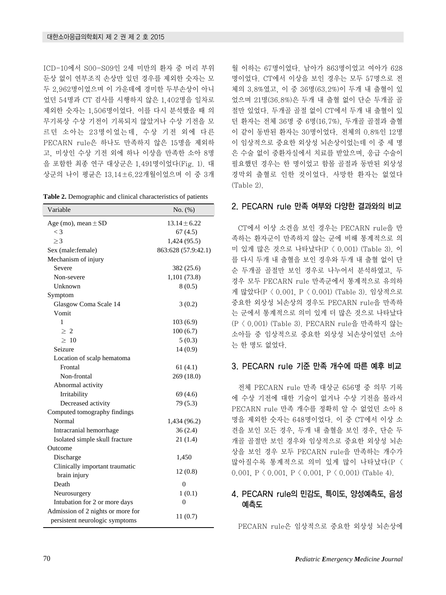ICD-10에서 S00-S09인 2세 미만의 환자 중 머리 부위 둔상 없이 연부조직 손상만 있던 경우를 제외한 숫자는 모 두 2,962명이었으며 이 가운데에 경미한 두부손상이 아니 었던 54명과 CT 검사를 시행하지 않은 1,402명을 일차로 제외한 숫자는 1,506명이었다. 이를 다시 분석했을 때 의 무기록상 수상 기전이 기록되지 않았거나 수상 기전을 모 르던 소아는 23명이었는데, 수상 기전 외에 다른 PECARN rule은 하나도 만족하지 않은 15명을 제외하 고, 미상인 수상 기전 외에 하나 이상을 만족한 소아 8명 을 포함한 최종 연구 대상군은 1,491명이었다(Fig. 1). 대 상군의 나이 평균은 13.14±6.22개월이었으며 이 중 3개

| Table 2. Demographic and clinical characteristics of patients |  |  |
|---------------------------------------------------------------|--|--|
|---------------------------------------------------------------|--|--|

| Variable                          | No. (%)             |
|-----------------------------------|---------------------|
| Age (mo), mean $\pm$ SD           | $13.14 + 6.22$      |
| $\lt$ 3                           | 67(4.5)             |
| $\geq$ 3                          | 1,424 (95.5)        |
| Sex (male:female)                 | 863:628 (57.9:42.1) |
| Mechanism of injury               |                     |
| Severe                            | 382 (25.6)          |
| Non-severe                        | 1,101 (73.8)        |
| Unknown                           | 8(0.5)              |
| Symptom                           |                     |
| Glasgow Coma Scale 14             | 3(0.2)              |
| Vomit                             |                     |
| 1                                 | 103(6.9)            |
| $\geq 2$                          | 100(6.7)            |
| >10                               | 5(0.3)              |
| Seizure                           | 14(0.9)             |
| Location of scalp hematoma        |                     |
| Frontal                           | 61(4.1)             |
| Non-frontal                       | 269 (18.0)          |
| Abnormal activity                 |                     |
| Irritability                      | 69(4.6)             |
| Decreased activity                | 79 (5.3)            |
| Computed tomography findings      |                     |
| Normal                            | 1,434 (96.2)        |
| Intracranial hemorrhage           | 36(2.4)             |
| Isolated simple skull fracture    | 21(1.4)             |
| Outcome                           |                     |
| Discharge                         | 1,450               |
| Clinically important traumatic    | 12(0.8)             |
| brain injury                      |                     |
| Death                             | 0                   |
| Neurosurgery                      | 1(0.1)              |
| Intubation for 2 or more days     | $\Omega$            |
| Admission of 2 nights or more for | 11(0.7)             |
| persistent neurologic symptoms    |                     |

월 이하는 67명이었다. 남아가 863명이었고 여아가 628 명이었다. CT에서 이상을 보인 경우는 모두 57명으로 전 체의 3.8%였고, 이 중 36명(63.2%)이 두개 내 출혈이 있 었으며 21명(36.8%)은 두개 내 출혈 없이 단순 두개골 골 절만 있었다. 두개골 골절 없이 CT에서 두개 내 출혈이 있 던 환자는 전체 36명 중 6명(16.7%), 두개골 골절과 출혈 이 같이 동반된 환자는 30명이었다. 전체의 0.8%인 12명 이 임상적으로 중요한 외상성 뇌손상이었는데 이 중 세 명 은 수술 없이 중환자실에서 치료를 받았으며, 응급 수술이 필요했던 경우는 한 명이었고 함몰 골절과 동반된 외상성 경막외 출혈로 인한 것이었다. 사망한 환자는 없었다 (Table 2).

### 2. PECARN rule 만족 여부와 다양한 결과와의 비교

CT에서 이상 소견을 보인 경우는 PECARN rule을 만 족하는 환자군이 만족하지 않는 군에 비해 통계적으로 의 미 있게 많은 것으로 나타났다(P < 0.001) (Table 3). 이 를 다시 두개 내 출혈을 보인 경우와 두개 내 출혈 없이 단 순 두개골 골절만 보인 경우로 나누어서 분석하였고, 두 경우 모두 PECARN rule 만족군에서 통계적으로 유의하 게 많았다(P < 0.001, P < 0.001) (Table 3). 임상적으로 중요한 외상성 뇌손상의 경우도 PECARN rule을 만족하 는 군에서 통계적으로 의미 있게 더 많은 것으로 나타났다 (P < 0.001) (Table 3). PECARN rule을 만족하지 않는 소아들 중 임상적으로 중요한 외상성 뇌손상이었던 소아 는 한 명도 없었다.

#### 3. PECARN rule 기준 만족 개수에 따른 예후 비교

전체 PECARN rule 만족 대상군 656명 중 의무 기록 에 수상 기전에 대한 기술이 없거나 수상 기전을 몰라서 PECARN rule 만족 개수를 정확히 알 수 없었던 소아 8 명을 제외한 숫자는 648명이었다. 이 중 CT에서 이상 소 견을 보인 모든 경우, 두개 내 출혈을 보인 경우, 단순 두 개골 골절만 보인 경우와 임상적으로 중요한 외상성 뇌손 상을 보인 경우 모두 PECARN rule을 만족하는 개수가 많아질수록 통계적으로 의미 있게 많이 나타났다(P < 0.001, P < 0.001, P < 0.001, P < 0.001) (Table 4).

### 4. PECARN rule의 민감도, 특이도, 양성예측도, 음성 예측도

PECARN rule은 임상적으로 중요한 외상성 뇌손상에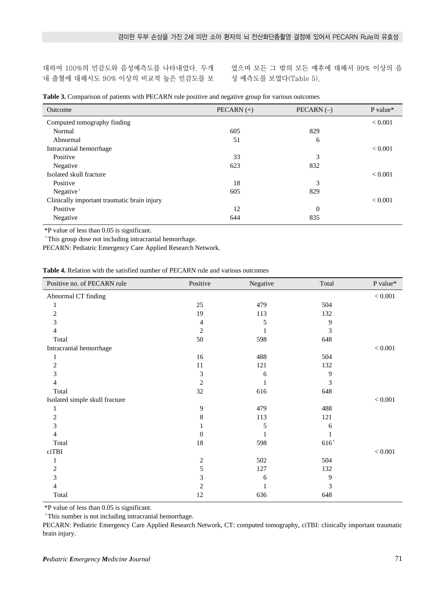대하여 100%의 민감도와 음성예측도를 나타내었다. 두개 내 출혈에 대해서도 90% 이상의 비교적 높은 민감도를 보

였으며 모든 그 밖의 모든 예후에 대해서 99% 이상의 음 성 예측도를 보였다(Table 5).

|  |  |  |  |  | Table 3. Comparison of patients with PECARN rule positive and negative group for various outcomes |
|--|--|--|--|--|---------------------------------------------------------------------------------------------------|
|--|--|--|--|--|---------------------------------------------------------------------------------------------------|

| Outcome                                     | PECARN $(+)$ | $PECARN (-)$ | P value*       |
|---------------------------------------------|--------------|--------------|----------------|
| Computed tomography finding                 |              |              | ${}< 0.001$    |
| Normal                                      | 605          | 829          |                |
| Abnormal                                    | 51           | 6            |                |
| Intracranial hemorrhage                     |              |              | < 0.001        |
| Positive                                    | 33           | 3            |                |
| Negative                                    | 623          | 832          |                |
| Isolated skull fracture                     |              |              | ${}< 0.001$    |
| Positive                                    | 18           | 3            |                |
| Negative <sup><math>\dagger</math></sup>    | 605          | 829          |                |
| Clinically important traumatic brain injury |              |              | ${}_{< 0.001}$ |
| Positive                                    | 12           | $\theta$     |                |
| Negative                                    | 644          | 835          |                |

\*P value of less than 0.05 is significant.

<sup>†</sup>This group dose not including intracranial hemorrhage.

PECARN: Pediatric Emergency Care Applied Research Network.

**Table 4.** Relation with the satisfied number of PECARN rule and various outcomes

| Positive no. of PECARN rule    | Positive       | Negative | Total           | P value*    |
|--------------------------------|----------------|----------|-----------------|-------------|
| Abnormal CT finding            |                |          |                 | $< 0.001$   |
|                                | $25\,$         | 479      | 504             |             |
| $\overline{2}$                 | 19             | 113      | 132             |             |
| 3                              | 4              | 5        | 9               |             |
| 4                              | 2              |          | 3               |             |
| Total                          | 50             | 598      | 648             |             |
| Intracranial hemorrhage        |                |          |                 | $< 0.001\,$ |
| 1                              | 16             | 488      | 504             |             |
| $\overline{2}$                 | 11             | 121      | 132             |             |
| 3                              | 3              | 6        | 9               |             |
| 4                              | $\overline{c}$ |          | 3               |             |
| Total                          | 32             | 616      | 648             |             |
| Isolated simple skull fracture |                |          |                 | $< 0.001$   |
| 1                              | 9              | 479      | 488             |             |
| $\overline{2}$                 | 8              | 113      | 121             |             |
| 3                              |                | 5        | 6               |             |
| 4                              | 0              |          |                 |             |
| Total                          | $18\,$         | 598      | $616^{\dagger}$ |             |
| ciTBI                          |                |          |                 | < 0.001     |
|                                | $\overline{c}$ | 502      | 504             |             |
| $\overline{2}$                 | 5              | 127      | 132             |             |
| 3                              | 3              | 6        | 9               |             |
| 4                              | 2              |          | 3               |             |
| Total                          | 12             | 636      | 648             |             |

\*P value of less than 0.05 is significant.

 $\dagger$ This number is not including intracranial hemorrhage.

PECARN: Pediatric Emergency Care Applied Research Network, CT: computed tomography, ciTBI: clinically important traumatic brain injury.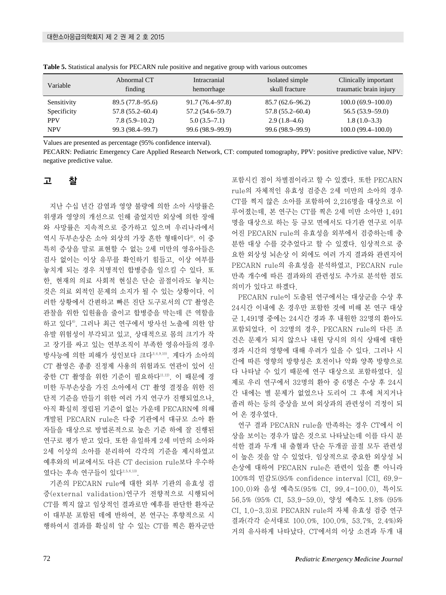| Variable    | Abnormal CT<br>finding | Intracranial<br>hemorrhage | Isolated simple<br>skull fracture | Clinically important<br>traumatic brain injury |
|-------------|------------------------|----------------------------|-----------------------------------|------------------------------------------------|
| Sensitivity | $89.5(77.8-95.6)$      | 91.7 (76.4–97.8)           | $85.7(62.6 - 96.2)$               | $100.0(69.9-100.0)$                            |
| Specificity | $57.8(55.2 - 60.4)$    | $57.2(54.6 - 59.7)$        | $57.8(55.2 - 60.4)$               | $56.5(53.9-59.0)$                              |
| <b>PPV</b>  | $7.8(5.9-10.2)$        | $5.0(3.5-7.1)$             | $2.9(1.8-4.6)$                    | $1.8(1.0-3.3)$                                 |
| <b>NPV</b>  | 99.3 (98.4–99.7)       | 99.6 (98.9–99.9)           | 99.6 (98.9–99.9)                  | $100.0(99.4-100.0)$                            |

**Table 5.** Statistical analysis for PECARN rule positive and negative group with various outcomes

Values are presented as percentage (95% confidence interval).

PECARN: Pediatric Emergency Care Applied Research Network, CT: computed tomography, PPV: positive predictive value, NPV: negative predictive value.

#### 고 찰

지난 수십 년간 감염과 영양 불량에 의한 소아 사망률은 위생과 영양의 개선으로 인해 줄었지만 외상에 의한 장애 와 사망률은 지속적으로 증가하고 있으며 우리나라에서 역시 두부손상은 소아 외상의 가장 흔한 형태이다<sup>8</sup>. 이 중 특히 증상을 말로 표현할 수 없는 2세 미만의 영유아들은 검사 없이는 이상 유무를 확인하기 힘들고, 이상 여부를 놓치게 되는 경우 치명적인 합병증을 일으킬 수 있다. 또 한, 현재의 의료 사회적 현실은 단순 골절이라도 놓치는 것은 의료 외적인 문제의 소지가 될 수 있는 상황이다. 이 러한 상황에서 간편하고 빠른 진단 도구로서의 CT 촬영은 관찰을 위한 입원율을 줄이고 합병증을 막는데 큰 역할을 하고 있다6). 그러나 최근 연구에서 방사선 노출에 의한 암 유발 위험성이 부각되고 있고, 상대적으로 몸의 크기가 작 고 장기를 싸고 있는 연부조직이 부족한 영유아들의 경우 방사능에 의한 피해가 성인보다 크다3,4,9,10). 게다가 소아의 CT 촬영은 종종 진정제 사용의 위험과도 연관이 있어 신 중한 CT 촬영을 위한 기준이 필요하다11,12). 이 때문에 경 미한 두부손상을 가진 소아에서 CT 촬영 결정을 위한 진 단적 기준을 만들기 위한 여러 가지 연구가 진행되었으나, 아직 확실히 정립된 기준이 없는 가운데 PECARN에 의해 개발된 PECARN rule은 다중 기관에서 대규모 소아 환 자들을 대상으로 방법론적으로 높은 기준 하에 잘 진행된 연구로 평가 받고 있다. 또한 유일하게 2세 미만의 소아와 2세 이상의 소아를 분리하여 각각의 기준을 제시하였고 예후와의 비교에서도 다른 CT decision rule보다 우수하 였다는 후속 연구들이 있다2,5,6,13).

기존의 PECARN rule에 대한 외부 기관의 유효성 검 증(external validation)연구가 전향적으로 시행되어 CT를 찍지 않고 임상적인 결과로만 예후를 판단한 환자군 이 대부분 포함된 데에 반하여, 본 연구는 후향적으로 시 행하여서 결과를 확실히 알 수 있는 CT를 찍은 환자군만 포함시킨 점이 차별점이라고 할 수 있겠다. 또한 PECARN rule의 자체적인 유효성 검증은 2세 미만의 소아의 경우 CT를 찍지 않은 소아를 포함하여 2,216명을 대상으로 이 루어졌는데, 본 연구는 CT를 찍은 2세 미만 소아만 1,491 명을 대상으로 하는 등 규모 면에서도 다기관 연구로 이루 어진 PECARN rule의 유효성을 외부에서 검증하는데 충 분한 대상 수를 갖추었다고 할 수 있겠다. 임상적으로 중 요한 외상성 뇌손상 이 외에도 여러 가지 결과와 관련지어 PECARN rule의 유효성을 분석하였고, PECARN rule 만족 개수에 따른 결과와의 관련성도 추가로 분석한 점도 의미가 있다고 하겠다.

PECARN rule이 도출된 연구에서는 대상군을 수상 후 24시간 이내에 온 경우만 포함한 것에 비해 본 연구 대상 군 1,491명 중에는 24시간 경과 후 내원한 32명의 환아도 포함되었다. 이 32명의 경우, PECARN rule의 다른 조 건은 문제가 되지 않으나 내원 당시의 의식 상태에 대한 경과 시간의 영향에 대해 우려가 있을 수 있다. 그러나 시 간에 따른 영향의 방향성은 호전이나 악화 양쪽 방향으로 다 나타날 수 있기 때문에 연구 대상으로 포함하였다. 실 제로 우리 연구에서 32명의 환아 중 6명은 수상 후 24시 간 내에는 별 문제가 없었으나 도리어 그 후에 처지거나 졸려 하는 등의 증상을 보여 외상과의 관련성이 걱정이 되 어 온 경우였다.

연구 결과 PECARN rule을 만족하는 경우 CT에서 이 상을 보이는 경우가 많은 것으로 나타났는데 이를 다시 분 석한 결과 두개 내 출혈과 단순 두개골 골절 모두 관련성 이 높은 것을 알 수 있었다. 임상적으로 중요한 외상성 뇌 손상에 대하여 PECARN rule은 관련이 있을 뿐 아니라 100%의 민감도(95% confidence interval [CI], 69.9- 100.0)와 음성 예측도(95% CI, 99.4-100.0), 특이도 56.5% (95% CI, 53.9-59.0), 양성 예측도 1.8% (95% CI, 1.0-3.3)로 PECARN rule의 자체 유효성 검증 연구 결과(각각 순서대로 100.0%, 100.0%, 53.7%, 2.4%)와 거의 유사하게 나타났다. CT에서의 이상 소견과 두개 내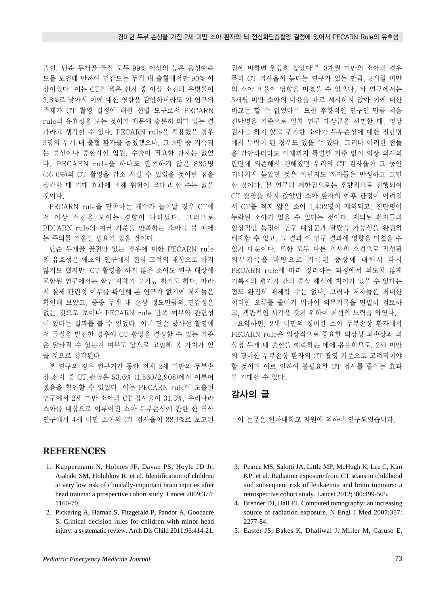출혈, 단순 두개골 골절 모두 99% 이상의 높은 음성예측 도를 보인데 반하여 민감도는 두개 내 출혈에서만 90% 이 상이었다. 이는 CT를 찍은 환자 중 이상 소견의 유병률이 3.8%로 낮아서 이에 대한 영향을 감안하더라도 이 연구의 주제가 CT 촬영 결정에 대한 선별 도구로서 PECARN rule의 유효성을 보는 것이기 때문에 충분히 의미 있는 결 과라고 생각할 수 있다. PECARN rule을 적용했을 경우 3명의 두개 내 출혈 환자를 놓쳤겠으나, 그 3명 중 지속되 는 증상이나 중환자실 입원, 수술이 필요한 환자는 없었 다. PECARN rule을 하나도 만족하지 않은 835명 (56.0%)의 CT 촬영을 감소 시킬 수 있었을 것이란 점을 생각할 때 기대 효과에 비해 위험이 크다고 할 수는 없을 것이다.

PECARN rule을 만족하는 개수가 늘어날 경우 CT에 서 이상 소견을 보이는 경향이 나타났다. 그러므로 PECARN rule의 여러 기준을 만족하는 소아를 볼 때에 는 주의를 기울일 필요가 있을 것이다.

단순 두개골 골절만 있는 경우에 대한 PECARN rule 의 유효성은 애초의 연구에서 전혀 고려의 대상으로 하지 않기도 했지만, CT 촬영을 하지 않은 소아도 연구 대상에 포함된 연구에서는 확인 자체가 불가능 하기도 하다. 따라 서 실제 관련성 여부를 확인해 본 연구가 없기에 저자들은 확인해 보았고, 중증 두개 내 손상 정도만큼의 민감성은 없는 것으로 보이나 PECARN rule 만족 여부와 관련성 이 있다는 결과를 볼 수 있었다. 이미 단순 방사선 촬영에 서 골절을 발견한 경우에 CT 촬영을 결정할 수 있는 기준 은 달라질 수 있는지 여부도 앞으로 고민해 볼 가치가 있 을 것으로 생각된다.

본 연구의 경우 연구기간 동안 전체 2세 미만의 두부손 상 환자 중 CT 촬영은 53.6% (1,560/2,908)에서 이루어 졌음을 확인할 수 있었다. 이는 PECARN rule이 도출된 연구에서 2세 미만 소아의 CT 검사율이 31.3%, 우리나라 소아를 대상으로 이루어진 소아 두부손상에 관한 한 역학 연구에서 4세 미만 소아의 CT 검사율이 38.1%로 보고된

#### **REFERENCES**

- 01. Kuppermann N, Holmes JF, Dayan PS, Hoyle JD Jr, Atabaki SM, Holubkov R, et al. Identification of children at very low risk of clinically-important brain injuries after head trauma: a prospective cohort study. Lancet 2009;374: 1160-70.
- 02. Pickering A, Harnan S, Fitzgerald P, Pandor A, Goodacre S. Clinical decision rules for children with minor head injury: a systematic review. Arch Dis Child 2011;96:414-21.

점에 비하면 월등히 높았다1,8). 3개월 미만의 소아의 경우 특히 CT 검사율이 높다는 연구가 있는 만큼, 3개월 미만 의 소아 비율이 영향을 미쳤을 수 있으나, 타 연구에서는 3개월 미만 소아의 비율을 따로 제시하지 않아 이에 대한 비교는 할 수 없었다14). 또한 후향적인 연구인 만큼 처음 진단명을 기준으로 일차 연구 대상군을 선별할 때, 영상 검사를 하지 않고 귀가한 소아가 두부손상에 대한 진단명 에서 누락이 된 경우도 있을 수 있다. 그러나 이러한 점들 을 감안하더라도 이제까지 특별한 기준 없이 임상 의사의 판단에 의존해서 행해졌던 우리의 CT 검사율이 그 동안 지나치게 높았던 것은 아닌지도 저자들은 반성하고 고민 할 것이다. 본 연구의 제한점으로는 후향적으로 진행되어 CT 촬영을 하지 않았던 소아 환자의 예후 판정이 어려워 서 CT를 찍지 않은 소아 1,402명이 제외되고, 진단명이 누락된 소아가 있을 수 있다는 것이다. 제외된 환자들의 임상적인 특징이 연구 대상군과 달랐을 가능성을 완전히 배제할 수 없고, 그 결과 이 연구 결과에 영향을 미쳤을 수 있기 때문이다. 또한 모두 다른 의사의 소견으로 작성된 의무기록을 바탕으로 기록된 증상에 대해서 다시 PECARN rule에 따라 정리하는 과정에서 의도치 않게 기록자와 평가자 간의 증상 해석에 차이가 있을 수 있다는 점도 완전히 배제할 수는 없다. 그러나 저자들은 최대한 이러한 오류를 줄이기 위하여 의무기록을 면밀히 검토하 고, 객관적인 시각을 갖기 위하여 최선의 노력을 하였다.

요약하면, 2세 미만의 경미한 소아 두부손상 환자에서 PECARN rule은 임상적으로 중요한 외상성 뇌손상과 외 상성 두개 내 출혈을 예측하는 데에 유용하므로, 2세 미만 의 경미한 두부손상 환자의 CT 촬영 기준으로 고려되어야 할 것이며 이로 인하여 불필요한 CT 검사를 줄이는 효과 를 기대할 수 있다.

## 감사의 글

이 논문은 인하대학교 지원에 의하여 연구되었습니다.

- 03. Pearce MS, Salotti JA, Little MP, McHugh K, Lee C, Kim KP, et al. Radiation exposure from CT scans in childhood and subsequent risk of leukaemia and brain tumours: a retrospective cohort study. Lancet 2012;380:499-505.
- 04. Brenner DJ, Hall EJ. Computed tomography: an increasing source of radiation exposure. N Engl J Med 2007;357: 2277-84.
- 05. Easter JS, Bakes K, Dhaliwal J, Miller M, Caruso E,